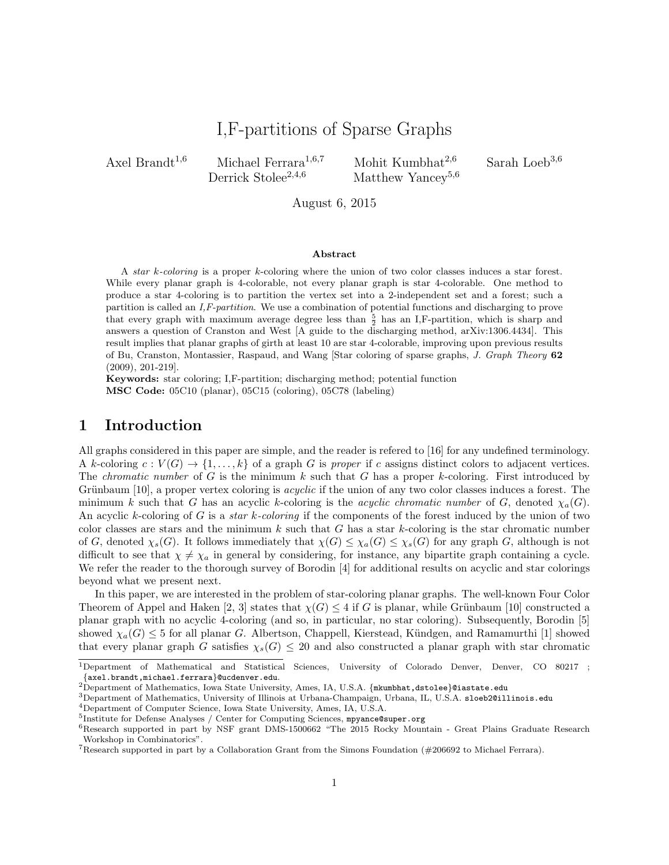# I,F-partitions of Sparse Graphs

Axel Brandt<sup>1,6</sup> Michael Ferrara<sup>1,6,7</sup> Mohit Kumbhat<sup>2,6</sup> Sarah Loeb<sup>3,6</sup><br>Derrick Stolee<sup>2,4,6</sup> Matthew Yancev<sup>5,6</sup>

Matthew Yancey<sup>5,6</sup>

August 6, 2015

#### Abstract

A star k-coloring is a proper k-coloring where the union of two color classes induces a star forest. While every planar graph is 4-colorable, not every planar graph is star 4-colorable. One method to produce a star 4-coloring is to partition the vertex set into a 2-independent set and a forest; such a partition is called an I,F-partition. We use a combination of potential functions and discharging to prove that every graph with maximum average degree less than  $\frac{5}{2}$  has an I,F-partition, which is sharp and answers a question of Cranston and West [A guide to the discharging method, arXiv:1306.4434]. This result implies that planar graphs of girth at least 10 are star 4-colorable, improving upon previous results of Bu, Cranston, Montassier, Raspaud, and Wang [Star coloring of sparse graphs, J. Graph Theory 62 (2009), 201-219].

Keywords: star coloring; I,F-partition; discharging method; potential function MSC Code: 05C10 (planar), 05C15 (coloring), 05C78 (labeling)

#### 1 Introduction

All graphs considered in this paper are simple, and the reader is refered to [16] for any undefined terminology. A k-coloring  $c: V(G) \to \{1, \ldots, k\}$  of a graph G is proper if c assigns distinct colors to adjacent vertices. The *chromatic number* of G is the minimum  $k$  such that G has a proper  $k$ -coloring. First introduced by Grünbaum  $[10]$ , a proper vertex coloring is *acyclic* if the union of any two color classes induces a forest. The minimum k such that G has an acyclic k-coloring is the *acyclic chromatic number* of G, denoted  $\chi_a(G)$ . An acyclic k-coloring of G is a *star k-coloring* if the components of the forest induced by the union of two color classes are stars and the minimum  $k$  such that  $G$  has a star  $k$ -coloring is the star chromatic number of G, denoted  $\chi_s(G)$ . It follows immediately that  $\chi(G) \leq \chi_a(G) \leq \chi_s(G)$  for any graph G, although is not difficult to see that  $\chi \neq \chi_a$  in general by considering, for instance, any bipartite graph containing a cycle. We refer the reader to the thorough survey of Borodin [4] for additional results on acyclic and star colorings beyond what we present next.

In this paper, we are interested in the problem of star-coloring planar graphs. The well-known Four Color Theorem of Appel and Haken [2, 3] states that  $\chi(G) \leq 4$  if G is planar, while Grünbaum [10] constructed a planar graph with no acyclic 4-coloring (and so, in particular, no star coloring). Subsequently, Borodin [5] showed  $\chi_a(G) \leq 5$  for all planar G. Albertson, Chappell, Kierstead, Kündgen, and Ramamurthi [1] showed that every planar graph G satisfies  $\chi_s(G) \leq 20$  and also constructed a planar graph with star chromatic

<sup>1</sup>Department of Mathematical and Statistical Sciences, University of Colorado Denver, Denver, CO 80217 ; {axel.brandt,michael.ferrara}@ucdenver.edu.

<sup>&</sup>lt;sup>2</sup>Department of Mathematics, Iowa State University, Ames, IA, U.S.A. {mkumbhat,dstolee}@iastate.edu

<sup>3</sup>Department of Mathematics, University of Illinois at Urbana-Champaign, Urbana, IL, U.S.A. sloeb2@illinois.edu

<sup>4</sup>Department of Computer Science, Iowa State University, Ames, IA, U.S.A.

<sup>&</sup>lt;sup>5</sup>Institute for Defense Analyses / Center for Computing Sciences, mpyance@super.org

<sup>6</sup>Research supported in part by NSF grant DMS-1500662 "The 2015 Rocky Mountain - Great Plains Graduate Research Workshop in Combinatorics".

<sup>&</sup>lt;sup>7</sup>Research supported in part by a Collaboration Grant from the Simons Foundation ( $\#206692$  to Michael Ferrara).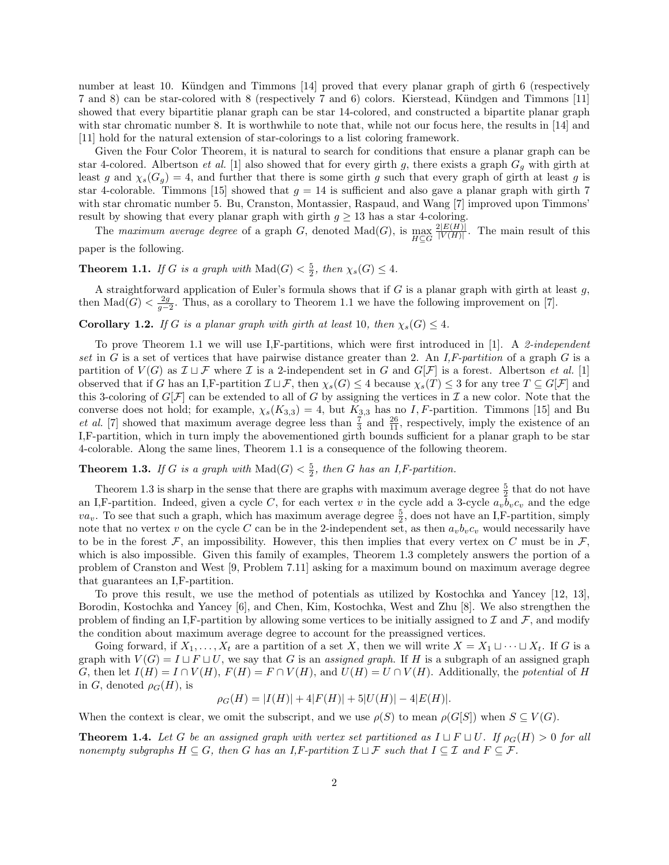number at least 10. Kündgen and Timmons [14] proved that every planar graph of girth 6 (respectively 7 and 8) can be star-colored with 8 (respectively 7 and 6) colors. Kierstead, Kündgen and Timmons [11] showed that every bipartitie planar graph can be star 14-colored, and constructed a bipartite planar graph with star chromatic number 8. It is worthwhile to note that, while not our focus here, the results in [14] and [11] hold for the natural extension of star-colorings to a list coloring framework.

Given the Four Color Theorem, it is natural to search for conditions that ensure a planar graph can be star 4-colored. Albertson *et al.* [1] also showed that for every girth g, there exists a graph  $G_g$  with girth at least g and  $\chi_s(G_g) = 4$ , and further that there is some girth g such that every graph of girth at least g is star 4-colorable. Timmons [15] showed that  $g = 14$  is sufficient and also gave a planar graph with girth 7 with star chromatic number 5. Bu, Cranston, Montassier, Raspaud, and Wang [7] improved upon Timmons' result by showing that every planar graph with girth  $g \geq 13$  has a star 4-coloring.

The maximum average degree of a graph G, denoted Mad(G), is  $\max_{H \subseteq G}$  $2|E(H)|$  $\frac{|\mathcal{L}(H)|}{|V(H)|}$ . The main result of this

paper is the following.

**Theorem 1.1.** If G is a graph with  $\text{Mad}(G) < \frac{5}{2}$ , then  $\chi_s(G) \leq 4$ .

A straightforward application of Euler's formula shows that if  $G$  is a planar graph with girth at least  $g$ , then  $\text{Mad}(G) < \frac{2g}{g-2}$ . Thus, as a corollary to Theorem 1.1 we have the following improvement on [7].

**Corollary 1.2.** If G is a planar graph with girth at least 10, then  $\chi_s(G) \leq 4$ .

To prove Theorem 1.1 we will use I,F-partitions, which were first introduced in [1]. A 2-independent set in  $G$  is a set of vertices that have pairwise distance greater than 2. An I,F-partition of a graph  $G$  is a partition of  $V(G)$  as  $\mathcal{I} \sqcup \mathcal{F}$  where  $\mathcal{I}$  is a 2-independent set in G and  $G[\mathcal{F}]$  is a forest. Albertson *et al.* [1] observed that if G has an I,F-partition  $\mathcal{I} \sqcup \mathcal{F}$ , then  $\chi_s(G) \leq 4$  because  $\chi_s(T) \leq 3$  for any tree  $T \subseteq G[\mathcal{F}]$  and this 3-coloring of  $G[\mathcal{F}]$  can be extended to all of G by assigning the vertices in  $\mathcal I$  a new color. Note that the converse does not hold; for example,  $\chi_s(K_{3,3}) = 4$ , but  $K_{3,3}$  has no I, F-partition. Timmons [15] and Bu *et al.* [7] showed that maximum average degree less than  $\frac{7}{3}$  and  $\frac{26}{11}$ , respectively, imply the existence of an I,F-partition, which in turn imply the abovementioned girth bounds sufficient for a planar graph to be star 4-colorable. Along the same lines, Theorem 1.1 is a consequence of the following theorem.

## **Theorem 1.3.** If G is a graph with  $\text{Mad}(G) < \frac{5}{2}$ , then G has an I,F-partition.

Theorem 1.3 is sharp in the sense that there are graphs with maximum average degree  $\frac{5}{2}$  that do not have an I,F-partition. Indeed, given a cycle C, for each vertex v in the cycle add a 3-cycle  $a_vb_vc_v$  and the edge  $va_v$ . To see that such a graph, which has maximum average degree  $\frac{5}{2}$ , does not have an I,F-partition, simply note that no vertex v on the cycle C can be in the 2-independent set, as then  $a_vb_vc_v$  would necessarily have to be in the forest  $\mathcal{F}$ , an impossibility. However, this then implies that every vertex on C must be in  $\mathcal{F}$ , which is also impossible. Given this family of examples, Theorem 1.3 completely answers the portion of a problem of Cranston and West [9, Problem 7.11] asking for a maximum bound on maximum average degree that guarantees an I,F-partition.

To prove this result, we use the method of potentials as utilized by Kostochka and Yancey [12, 13], Borodin, Kostochka and Yancey [6], and Chen, Kim, Kostochka, West and Zhu [8]. We also strengthen the problem of finding an I,F-partition by allowing some vertices to be initially assigned to  $\mathcal I$  and  $\mathcal F$ , and modify the condition about maximum average degree to account for the preassigned vertices.

Going forward, if  $X_1, \ldots, X_t$  are a partition of a set X, then we will write  $X = X_1 \sqcup \cdots \sqcup X_t$ . If G is a graph with  $V(G) = I \sqcup F \sqcup U$ , we say that G is an assigned graph. If H is a subgraph of an assigned graph G, then let  $I(H) = I \cap V(H)$ ,  $F(H) = F \cap V(H)$ , and  $U(H) = U \cap V(H)$ . Additionally, the potential of H in G, denoted  $\rho_G(H)$ , is

$$
\rho_G(H) = |I(H)| + 4|F(H)| + 5|U(H)| - 4|E(H)|.
$$

When the context is clear, we omit the subscript, and we use  $\rho(S)$  to mean  $\rho(G[S])$  when  $S \subseteq V(G)$ .

**Theorem 1.4.** Let G be an assigned graph with vertex set partitioned as  $I \sqcup F \sqcup U$ . If  $\rho_G(H) > 0$  for all nonempty subgraphs  $H \subseteq G$ , then G has an I,F-partition  $\mathcal{I} \sqcup \mathcal{F}$  such that  $I \subseteq \mathcal{I}$  and  $F \subseteq \mathcal{F}$ .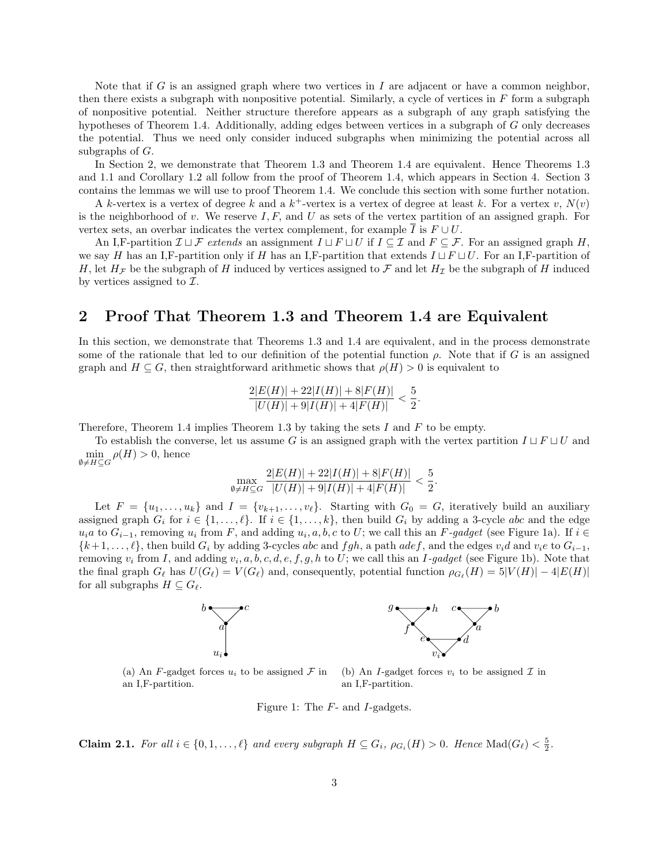Note that if G is an assigned graph where two vertices in I are adjacent or have a common neighbor, then there exists a subgraph with nonpositive potential. Similarly, a cycle of vertices in  $F$  form a subgraph of nonpositive potential. Neither structure therefore appears as a subgraph of any graph satisfying the hypotheses of Theorem 1.4. Additionally, adding edges between vertices in a subgraph of G only decreases the potential. Thus we need only consider induced subgraphs when minimizing the potential across all subgraphs of G.

In Section 2, we demonstrate that Theorem 1.3 and Theorem 1.4 are equivalent. Hence Theorems 1.3 and 1.1 and Corollary 1.2 all follow from the proof of Theorem 1.4, which appears in Section 4. Section 3 contains the lemmas we will use to proof Theorem 1.4. We conclude this section with some further notation.

A k-vertex is a vertex of degree k and a  $k^+$ -vertex is a vertex of degree at least k. For a vertex v,  $N(v)$ is the neighborhood of v. We reserve  $I, F$ , and U as sets of the vertex partition of an assigned graph. For vertex sets, an overbar indicates the vertex complement, for example I is  $F \cup U$ .

An I,F-partition  $\mathcal{I} \sqcup \mathcal{F}$  extends an assignment  $I \sqcup F \sqcup U$  if  $I \subseteq \mathcal{I}$  and  $F \subseteq \mathcal{F}$ . For an assigned graph H, we say H has an I,F-partition only if H has an I,F-partition that extends  $I \sqcup F \sqcup U$ . For an I,F-partition of H, let  $H<sub>\mathcal{F}</sub>$  be the subgraph of H induced by vertices assigned to  $\mathcal{F}$  and let  $H<sub>\mathcal{I}</sub>$  be the subgraph of H induced by vertices assigned to  $\mathcal{I}$ .

#### 2 Proof That Theorem 1.3 and Theorem 1.4 are Equivalent

In this section, we demonstrate that Theorems 1.3 and 1.4 are equivalent, and in the process demonstrate some of the rationale that led to our definition of the potential function  $\rho$ . Note that if G is an assigned graph and  $H \subseteq G$ , then straightforward arithmetic shows that  $\rho(H) > 0$  is equivalent to

$$
\frac{2|E(H)|+22|I(H)|+8|F(H)|}{|U(H)|+9|I(H)|+4|F(H)|}<\frac{5}{2}.
$$

Therefore, Theorem 1.4 implies Theorem 1.3 by taking the sets  $I$  and  $F$  to be empty.

To establish the converse, let us assume G is an assigned graph with the vertex partition  $I \sqcup F \sqcup U$  and  $\min_{\emptyset \neq H \subseteq G} \rho(H) > 0$ , hence

$$
\max_{\emptyset \neq H \subseteq G} \frac{2|E(H)| + 22|I(H)| + 8|F(H)|}{|U(H)| + 9|I(H)| + 4|F(H)|} < \frac{5}{2}.
$$

Let  $F = \{u_1, \ldots, u_k\}$  and  $I = \{v_{k+1}, \ldots, v_\ell\}$ . Starting with  $G_0 = G$ , iteratively build an auxiliary assigned graph  $G_i$  for  $i \in \{1, ..., \ell\}$ . If  $i \in \{1, ..., k\}$ , then build  $G_i$  by adding a 3-cycle abc and the edge  $u_i a$  to  $G_{i-1}$ , removing  $u_i$  from F, and adding  $u_i, a, b, c$  to U; we call this an F-gadget (see Figure 1a). If  $i \in$  $\{k+1,\ldots,\ell\}$ , then build  $G_i$  by adding 3-cycles abc and fgh, a path adef, and the edges  $v_id$  and  $v_ie$  to  $G_{i-1}$ , removing  $v_i$  from I, and adding  $v_i, a, b, c, d, e, f, g, h$  to U; we call this an I-gadget (see Figure 1b). Note that the final graph  $G_\ell$  has  $U(G_\ell) = V(G_\ell)$  and, consequently, potential function  $\rho_{G_\ell}(H) = 5|V(H)| - 4|E(H)|$ for all subgraphs  $H \subseteq G_{\ell}$ .



(a) An F-gadget forces  $u_i$  to be assigned  $\mathcal F$  in an I,F-partition. (b) An I-gadget forces  $v_i$  to be assigned  $\mathcal I$  in an I,F-partition.

Figure 1: The F- and I-gadgets.

**Claim 2.1.** For all  $i \in \{0, 1, ..., \ell\}$  and every subgraph  $H \subseteq G_i$ ,  $\rho_{G_i}(H) > 0$ . Hence  $\text{Mad}(G_{\ell}) < \frac{5}{2}$ .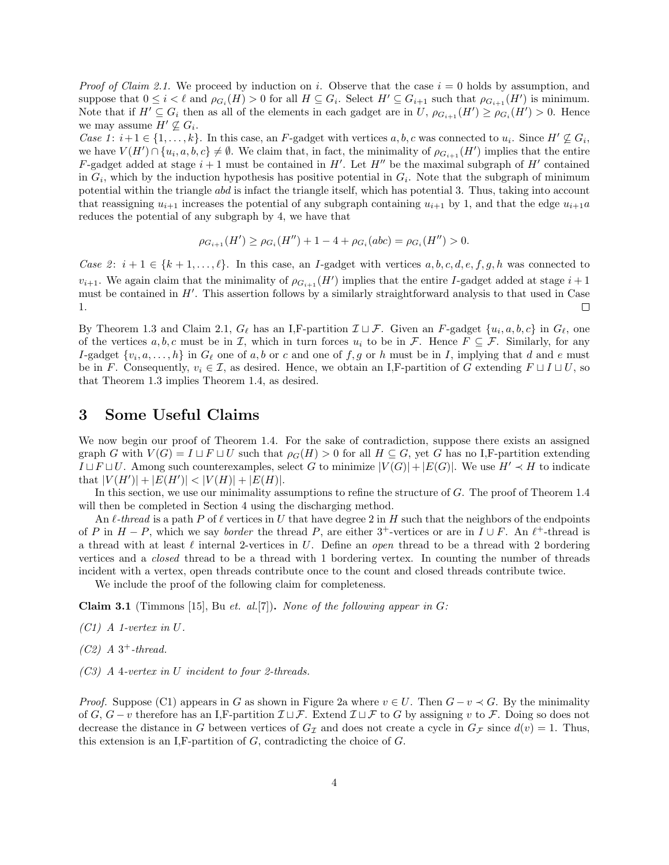*Proof of Claim 2.1.* We proceed by induction on i. Observe that the case  $i = 0$  holds by assumption, and suppose that  $0 \leq i < \ell$  and  $\rho_{G_i}(H) > 0$  for all  $H \subseteq G_i$ . Select  $H' \subseteq G_{i+1}$  such that  $\rho_{G_{i+1}}(H')$  is minimum. Note that if  $H' \subseteq G_i$  then as all of the elements in each gadget are in U,  $\rho_{G_{i+1}}(H') \geq \rho_{G_i}(H') > 0$ . Hence we may assume  $H' \nsubseteq G_i$ .

Case 1:  $i+1 \in \{1,\ldots,k\}$ . In this case, an F-gadget with vertices a, b, c was connected to  $u_i$ . Since  $H' \nsubseteq G_i$ , we have  $V(H') \cap \{u_i, a, b, c\} \neq \emptyset$ . We claim that, in fact, the minimality of  $\rho_{G_{i+1}}(H')$  implies that the entire F-gadget added at stage  $i + 1$  must be contained in H'. Let H'' be the maximal subgraph of H' contained in  $G_i$ , which by the induction hypothesis has positive potential in  $G_i$ . Note that the subgraph of minimum potential within the triangle abd is infact the triangle itself, which has potential 3. Thus, taking into account that reassigning  $u_{i+1}$  increases the potential of any subgraph containing  $u_{i+1}$  by 1, and that the edge  $u_{i+1}a$ reduces the potential of any subgraph by 4, we have that

$$
\rho_{G_{i+1}}(H') \ge \rho_{G_i}(H'') + 1 - 4 + \rho_{G_i}(abc) = \rho_{G_i}(H'') > 0.
$$

Case 2:  $i + 1 \in \{k + 1, \ldots, \ell\}$ . In this case, an *I*-gadget with vertices  $a, b, c, d, e, f, g, h$  was connected to  $v_{i+1}$ . We again claim that the minimality of  $\rho_{G_{i+1}}(H')$  implies that the entire I-gadget added at stage  $i+1$ must be contained in  $H'$ . This assertion follows by a similarly straightforward analysis to that used in Case 1.  $\Box$ 

By Theorem 1.3 and Claim 2.1,  $G_{\ell}$  has an I,F-partition  $\mathcal{I} \sqcup \mathcal{F}$ . Given an F-gadget  $\{u_i, a, b, c\}$  in  $G_{\ell}$ , one of the vertices  $a, b, c$  must be in I, which in turn forces  $u_i$  to be in F. Hence  $F \subseteq \mathcal{F}$ . Similarly, for any I-gadget  $\{v_i, a, \ldots, h\}$  in  $G_\ell$  one of a, b or c and one of f, g or h must be in I, implying that d and e must be in F. Consequently,  $v_i \in \mathcal{I}$ , as desired. Hence, we obtain an I,F-partition of G extending  $F \sqcup I \sqcup U$ , so that Theorem 1.3 implies Theorem 1.4, as desired.

#### 3 Some Useful Claims

We now begin our proof of Theorem 1.4. For the sake of contradiction, suppose there exists an assigned graph G with  $V(G) = I \sqcup F \sqcup U$  such that  $\rho_G(H) > 0$  for all  $H \subseteq G$ , yet G has no I,F-partition extending  $I \sqcup F \sqcup U$ . Among such counterexamples, select G to minimize  $|V(G)| + |E(G)|$ . We use  $H' \prec H$  to indicate that  $|V(H')| + |E(H')| < |V(H)| + |E(H)|$ .

In this section, we use our minimality assumptions to refine the structure of G. The proof of Theorem 1.4 will then be completed in Section 4 using the discharging method.

An  $\ell$ -thread is a path P of  $\ell$  vertices in U that have degree 2 in H such that the neighbors of the endpoints of P in  $H - P$ , which we say *border* the thread P, are either 3<sup>+</sup>-vertices or are in  $I \cup F$ . An  $\ell^+$ -thread is a thread with at least  $\ell$  internal 2-vertices in U. Define an open thread to be a thread with 2 bordering vertices and a closed thread to be a thread with 1 bordering vertex. In counting the number of threads incident with a vertex, open threads contribute once to the count and closed threads contribute twice.

We include the proof of the following claim for completeness.

Claim 3.1 (Timmons [15], Bu et. al.[7]). None of the following appear in  $G$ :

- $(C1)$  A 1-vertex in U.
- $(C2)$  A 3<sup>+</sup>-thread.
- (C3) A 4-vertex in U incident to four 2-threads.

*Proof.* Suppose (C1) appears in G as shown in Figure 2a where  $v \in U$ . Then  $G - v \prec G$ . By the minimality of G,  $G - v$  therefore has an I,F-partition  $\mathcal{I} \sqcup \mathcal{F}$ . Extend  $\mathcal{I} \sqcup \mathcal{F}$  to G by assigning v to F. Doing so does not decrease the distance in G between vertices of  $G_{\mathcal{I}}$  and does not create a cycle in  $G_{\mathcal{F}}$  since  $d(v) = 1$ . Thus, this extension is an I,F-partition of  $G$ , contradicting the choice of  $G$ .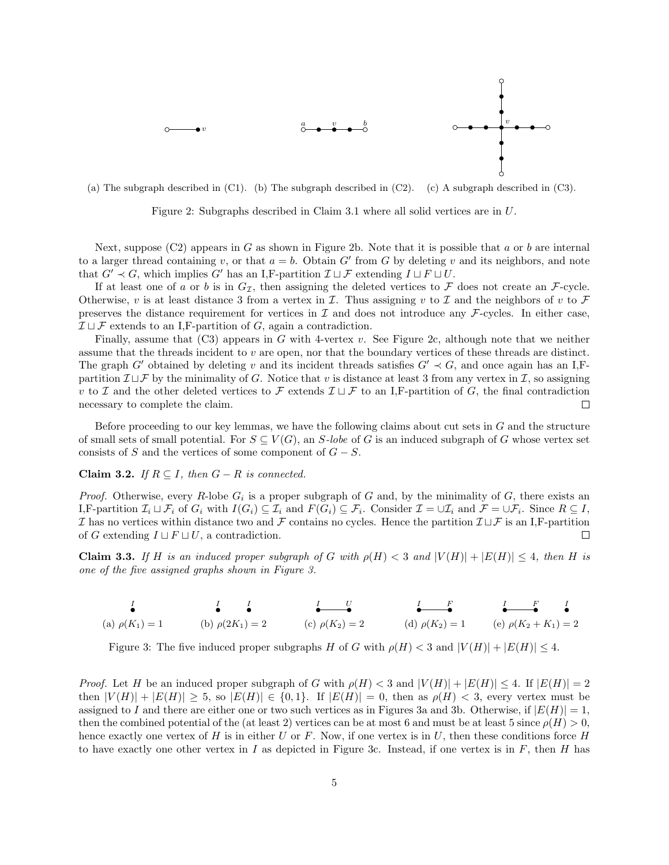

(a) The subgraph described in (C1). (b) The subgraph described in (C2). (c) A subgraph described in (C3).

Figure 2: Subgraphs described in Claim 3.1 where all solid vertices are in U.

Next, suppose  $(C2)$  appears in G as shown in Figure 2b. Note that it is possible that a or b are internal to a larger thread containing v, or that  $a = b$ . Obtain G' from G by deleting v and its neighbors, and note that  $G' \prec G$ , which implies G' has an I,F-partition  $\mathcal{I} \sqcup \mathcal{F}$  extending  $I \sqcup F \sqcup U$ .

If at least one of a or b is in  $G_{\mathcal{I}}$ , then assigning the deleted vertices to F does not create an F-cycle. Otherwise, v is at least distance 3 from a vertex in  $\mathcal I$ . Thus assigning v to  $\mathcal I$  and the neighbors of v to  $\mathcal F$ preserves the distance requirement for vertices in  $\mathcal I$  and does not introduce any  $\mathcal F$ -cycles. In either case,  $\mathcal{I} \sqcup \mathcal{F}$  extends to an I, F-partition of G, again a contradiction.

Finally, assume that  $(C3)$  appears in G with 4-vertex v. See Figure 2c, although note that we neither assume that the threads incident to  $v$  are open, nor that the boundary vertices of these threads are distinct. The graph G' obtained by deleting v and its incident threads satisfies  $G' \prec G$ , and once again has an I,Fpartition  $\mathcal{I} \sqcup \mathcal{F}$  by the minimality of G. Notice that v is distance at least 3 from any vertex in  $\mathcal{I}$ , so assigning v to I and the other deleted vertices to F extends  $\mathcal{I} \sqcup \mathcal{F}$  to an I,F-partition of G, the final contradiction necessary to complete the claim. □

Before proceeding to our key lemmas, we have the following claims about cut sets in G and the structure of small sets of small potential. For  $S \subseteq V(G)$ , an S-lobe of G is an induced subgraph of G whose vertex set consists of S and the vertices of some component of  $G - S$ .

Claim 3.2. If  $R \subseteq I$ , then  $G - R$  is connected.

*Proof.* Otherwise, every R-lobe  $G_i$  is a proper subgraph of G and, by the minimality of G, there exists an I,F-partition  $\mathcal{I}_i \sqcup \mathcal{F}_i$  of  $G_i$  with  $I(G_i) \subseteq \mathcal{I}_i$  and  $F(G_i) \subseteq \mathcal{F}_i$ . Consider  $\mathcal{I} = \cup \mathcal{I}_i$  and  $\mathcal{F} = \cup \mathcal{F}_i$ . Since  $R \subseteq I$ ,  $\mathcal I$  has no vertices within distance two and  $\mathcal F$  contains no cycles. Hence the partition  $\mathcal I\sqcup\mathcal F$  is an I,F-partition of G extending  $I \sqcup F \sqcup U$ , a contradiction. П

**Claim 3.3.** If H is an induced proper subgraph of G with  $\rho(H) < 3$  and  $|V(H)| + |E(H)| \leq 4$ , then H is one of the five assigned graphs shown in Figure 3.

| <b>Service Contract Contract Contract Contract Contract Contract Contract Contract Contract Contract Contract Contract Contract Contract Contract Contract Contract Contract Contract Contract Contract Contract Contract Contra</b> | $I \quad I$<br>$\bullet$ $\bullet$ | $I \qquad U$<br>$\bullet$ $\bullet$ | $I$ $F$<br>$\bullet$ $\bullet$ | $\frac{I}{\bullet}$ $\frac{F}{\bullet}$ $\frac{I}{\bullet}$ |
|--------------------------------------------------------------------------------------------------------------------------------------------------------------------------------------------------------------------------------------|------------------------------------|-------------------------------------|--------------------------------|-------------------------------------------------------------|
| (a) $\rho(K_1) = 1$                                                                                                                                                                                                                  | (b) $\rho(2K_1) = 2$               | (c) $\rho(K_2) = 2$                 |                                | (d) $\rho(K_2) = 1$ (e) $\rho(K_2 + K_1) = 2$               |

Figure 3: The five induced proper subgraphs H of G with  $\rho(H) < 3$  and  $|V(H)| + |E(H)| \leq 4$ .

*Proof.* Let H be an induced proper subgraph of G with  $\rho(H) < 3$  and  $|V(H)| + |E(H)| \leq 4$ . If  $|E(H)| = 2$ then  $|V(H)|+|E(H)|\geq 5$ , so  $|E(H)|\in \{0,1\}$ . If  $|E(H)|=0$ , then as  $\rho(H)<3$ , every vertex must be assigned to I and there are either one or two such vertices as in Figures 3a and 3b. Otherwise, if  $|E(H)| = 1$ , then the combined potential of the (at least 2) vertices can be at most 6 and must be at least 5 since  $\rho(H) > 0$ , hence exactly one vertex of H is in either U or F. Now, if one vertex is in U, then these conditions force H to have exactly one other vertex in  $I$  as depicted in Figure 3c. Instead, if one vertex is in  $F$ , then  $H$  has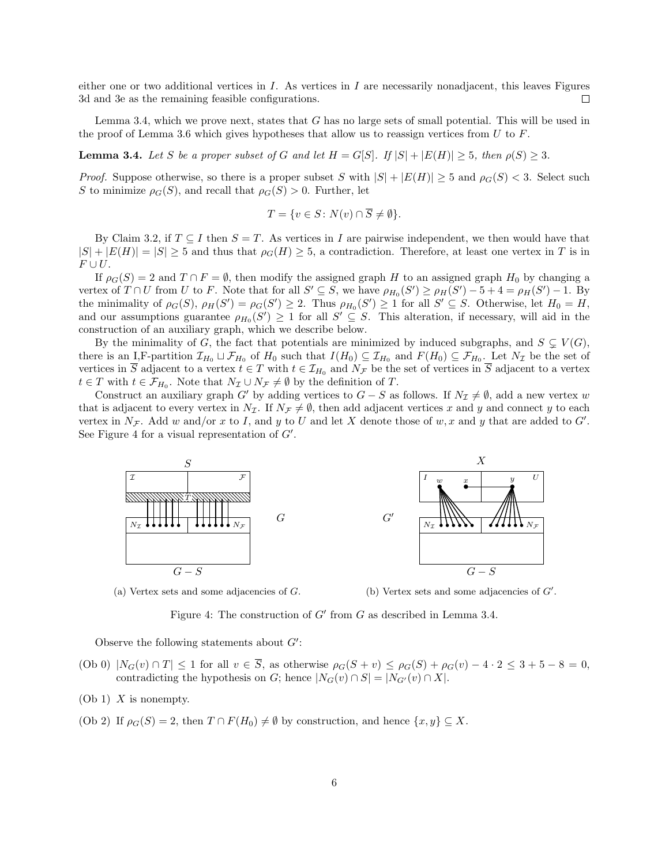either one or two additional vertices in  $I$ . As vertices in  $I$  are necessarily nonadjacent, this leaves Figures 3d and 3e as the remaining feasible configurations.  $\Box$ 

Lemma 3.4, which we prove next, states that G has no large sets of small potential. This will be used in the proof of Lemma 3.6 which gives hypotheses that allow us to reassign vertices from  $U$  to  $F$ .

**Lemma 3.4.** Let S be a proper subset of G and let  $H = G[S]$ . If  $|S| + |E(H)| \geq 5$ , then  $\rho(S) \geq 3$ .

*Proof.* Suppose otherwise, so there is a proper subset S with  $|S| + |E(H)| \geq 5$  and  $\rho_G(S) < 3$ . Select such S to minimize  $\rho_G(S)$ , and recall that  $\rho_G(S) > 0$ . Further, let

$$
T = \{ v \in S \colon N(v) \cap \overline{S} \neq \emptyset \}.
$$

By Claim 3.2, if  $T \subseteq I$  then  $S = T$ . As vertices in I are pairwise independent, we then would have that  $|S| + |E(H)| = |S| \ge 5$  and thus that  $\rho_G(H) \ge 5$ , a contradiction. Therefore, at least one vertex in T is in  $F \cup U.$ 

If  $\rho_G(S) = 2$  and  $T \cap F = \emptyset$ , then modify the assigned graph H to an assigned graph H<sub>0</sub> by changing a vertex of  $T \cap U$  from U to F. Note that for all  $S' \subseteq S$ , we have  $\rho_{H_0}(S') \ge \rho_H(S') - 5 + 4 = \rho_H(S') - 1$ . By the minimality of  $\rho_G(S)$ ,  $\rho_H(S') = \rho_G(S') \geq 2$ . Thus  $\rho_{H_0}(S') \geq 1$  for all  $S' \subseteq S$ . Otherwise, let  $H_0 = H$ , and our assumptions guarantee  $\rho_{H_0}(S') \geq 1$  for all  $S' \subseteq S$ . This alteration, if necessary, will aid in the construction of an auxiliary graph, which we describe below.

By the minimality of G, the fact that potentials are minimized by induced subgraphs, and  $S \subseteq V(G)$ , there is an I,F-partition  $\mathcal{I}_{H_0} \sqcup \mathcal{F}_{H_0}$  of  $H_0$  such that  $I(H_0) \subseteq \mathcal{I}_{H_0}$  and  $F(H_0) \subseteq \mathcal{F}_{H_0}$ . Let  $N_{\mathcal{I}}$  be the set of vertices in S adjacent to a vertex  $t \in T$  with  $t \in \mathcal{I}_{H_0}$  and  $N_{\mathcal{F}}$  be the set of vertices in S adjacent to a vertex  $t \in T$  with  $t \in \mathcal{F}_{H_0}$ . Note that  $N_{\mathcal{I}} \cup N_{\mathcal{F}} \neq \emptyset$  by the definition of  $T$ .

Construct an auxiliary graph G' by adding vertices to  $G - S$  as follows. If  $N_{\mathcal{I}} \neq \emptyset$ , add a new vertex w that is adjacent to every vertex in  $N_{\mathcal{I}}$ . If  $N_{\mathcal{F}} \neq \emptyset$ , then add adjacent vertices x and y and connect y to each vertex in  $N_{\mathcal{F}}$ . Add w and/or x to I, and y to U and let X denote those of w, x and y that are added to G'. See Figure 4 for a visual representation of  $G'$ .



(a) Vertex sets and some adjacencies of  $G$ .

(b) Vertex sets and some adjacencies of  $G'$ .

Figure 4: The construction of  $G'$  from  $G$  as described in Lemma 3.4.

Observe the following statements about  $G'$ :

- (Ob 0)  $|N_G(v) \cap T| \le 1$  for all  $v \in \overline{S}$ , as otherwise  $\rho_G(S + v) \le \rho_G(S) + \rho_G(v) 4 \cdot 2 \le 3 + 5 8 = 0$ , contradicting the hypothesis on G; hence  $|N_G(v) \cap S| = |N_{G'}(v) \cap X|$ .
- $(Ob 1)$  X is nonempty.
- (Ob 2) If  $\rho_G(S) = 2$ , then  $T \cap F(H_0) \neq \emptyset$  by construction, and hence  $\{x, y\} \subseteq X$ .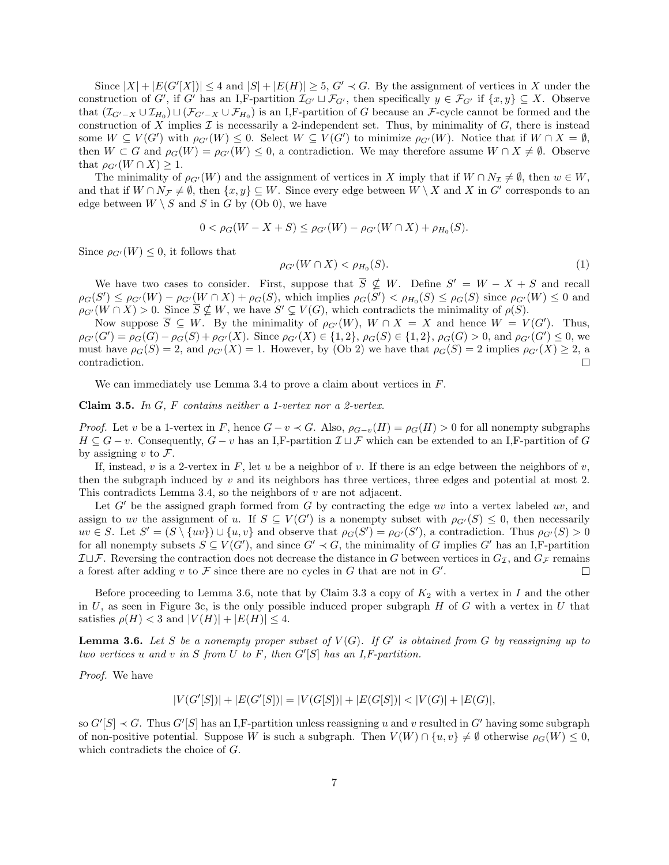Since  $|X| + |E(G'[X])| \le 4$  and  $|S| + |E(H)| \ge 5$ ,  $G' \prec G$ . By the assignment of vertices in X under the construction of G', if G' has an I,F-partition  $\mathcal{I}_{G'} \sqcup \mathcal{F}_{G'}$ , then specifically  $y \in \mathcal{F}_{G'}$  if  $\{x, y\} \subseteq X$ . Observe that  $(\mathcal{I}_{G'-X} \cup \mathcal{I}_{H_0}) \sqcup (\mathcal{F}_{G'-X} \cup \mathcal{F}_{H_0})$  is an I,F-partition of G because an F-cycle cannot be formed and the construction of  $X$  implies  $\mathcal I$  is necessarily a 2-independent set. Thus, by minimality of  $G$ , there is instead some  $W \subseteq V(G')$  with  $\rho_{G'}(W) \leq 0$ . Select  $W \subseteq V(G')$  to minimize  $\rho_{G'}(W)$ . Notice that if  $W \cap X = \emptyset$ , then  $W \subset G$  and  $\rho_G(W) = \rho_{G'}(W) \leq 0$ , a contradiction. We may therefore assume  $W \cap X \neq \emptyset$ . Observe that  $\rho_{G'}(W \cap X) \geq 1$ .

The minimality of  $\rho_{G'}(W)$  and the assignment of vertices in X imply that if  $W \cap N_{\mathcal{I}} \neq \emptyset$ , then  $w \in W$ , and that if  $W \cap N_{\mathcal{F}} \neq \emptyset$ , then  $\{x, y\} \subseteq W$ . Since every edge between  $W \setminus X$  and X in G' corresponds to an edge between  $W \setminus S$  and S in G by (Ob 0), we have

$$
0 < \rho_G(W - X + S) \le \rho_{G'}(W) - \rho_{G'}(W \cap X) + \rho_{H_0}(S).
$$

Since  $\rho_{G'}(W) \leq 0$ , it follows that

$$
\rho_{G'}(W \cap X) < \rho_{H_0}(S). \tag{1}
$$

We have two cases to consider. First, suppose that  $\overline{S} \nsubseteq W$ . Define  $S' = W - X + S$  and recall  $\rho_G(S') \leq \rho_{G'}(W) - \rho_{G'}(W \cap X) + \rho_G(S)$ , which implies  $\rho_G(S') < \rho_{H_0}(S) \leq \rho_G(S)$  since  $\rho_{G'}(W) \leq 0$  and  $\rho_{G'}(W \cap X) > 0$ . Since  $\overline{S} \nsubseteq W$ , we have  $S' \subsetneq V(G)$ , which contradicts the minimality of  $\rho(S)$ .

Now suppose  $\overline{S} \subseteq W$ . By the minimality of  $\rho_{G'}(W)$ ,  $W \cap X = X$  and hence  $W = V(G')$ . Thus,  $\rho_{G'}(G') = \rho_G(G) - \rho_G(S) + \rho_{G'}(X)$ . Since  $\rho_{G'}(X) \in \{1,2\}$ ,  $\rho_G(S) \in \{1,2\}$ ,  $\rho_G(G) > 0$ , and  $\rho_{G'}(G') \leq 0$ , we must have  $\rho_G(S) = 2$ , and  $\rho_{G'}(X) = 1$ . However, by (Ob 2) we have that  $\rho_G(S) = 2$  implies  $\rho_{G'}(X) \geq 2$ , a contradiction. П

We can immediately use Lemma 3.4 to prove a claim about vertices in F.

Claim 3.5. In G, F contains neither a 1-vertex nor a 2-vertex.

*Proof.* Let v be a 1-vertex in F, hence  $G - v \prec G$ . Also,  $\rho_{G-v}(H) = \rho_G(H) > 0$  for all nonempty subgraphs  $H \subseteq G - v$ . Consequently,  $G - v$  has an I,F-partition  $\mathcal{I} \sqcup \mathcal{F}$  which can be extended to an I,F-partition of G by assigning v to  $\mathcal{F}$ .

If, instead, v is a 2-vertex in F, let u be a neighbor of v. If there is an edge between the neighbors of v, then the subgraph induced by  $v$  and its neighbors has three vertices, three edges and potential at most 2. This contradicts Lemma 3.4, so the neighbors of  $v$  are not adjacent.

Let  $G'$  be the assigned graph formed from G by contracting the edge uv into a vertex labeled uv, and assign to uv the assignment of u. If  $S \subseteq V(G')$  is a nonempty subset with  $\rho_{G'}(S) \leq 0$ , then necessarily  $uv \in S$ . Let  $S' = (S \setminus \{uv\}) \cup \{u, v\}$  and observe that  $\rho_G(S') = \rho_{G'}(S')$ , a contradiction. Thus  $\rho_{G'}(S) > 0$ for all nonempty subsets  $S \subseteq V(G')$ , and since  $G' \prec G$ , the minimality of G implies  $G'$  has an I,F-partition  $\mathcal{I} \sqcup \mathcal{F}$ . Reversing the contraction does not decrease the distance in G between vertices in  $G_{\mathcal{I}}$ , and  $G_{\mathcal{F}}$  remains a forest after adding  $v$  to  $\mathcal F$  since there are no cycles in  $G$  that are not in  $G'$ .  $\Box$ 

Before proceeding to Lemma 3.6, note that by Claim 3.3 a copy of  $K_2$  with a vertex in I and the other in  $U$ , as seen in Figure 3c, is the only possible induced proper subgraph  $H$  of  $G$  with a vertex in  $U$  that satisfies  $\rho(H) < 3$  and  $|V(H)| + |E(H)| \leq 4$ .

**Lemma 3.6.** Let S be a nonempty proper subset of  $V(G)$ . If G' is obtained from G by reassigning up to two vertices u and v in S from U to F, then  $G'[S]$  has an I,F-partition.

Proof. We have

$$
|V(G'[S])| + |E(G'[S])| = |V(G[S])| + |E(G[S])| < |V(G)| + |E(G)|,
$$

so  $G'[S] \prec G$ . Thus  $G'[S]$  has an I,F-partition unless reassigning u and v resulted in G' having some subgraph of non-positive potential. Suppose W is such a subgraph. Then  $V(W) \cap \{u, v\} \neq \emptyset$  otherwise  $\rho_G(W) \leq 0$ , which contradicts the choice of G.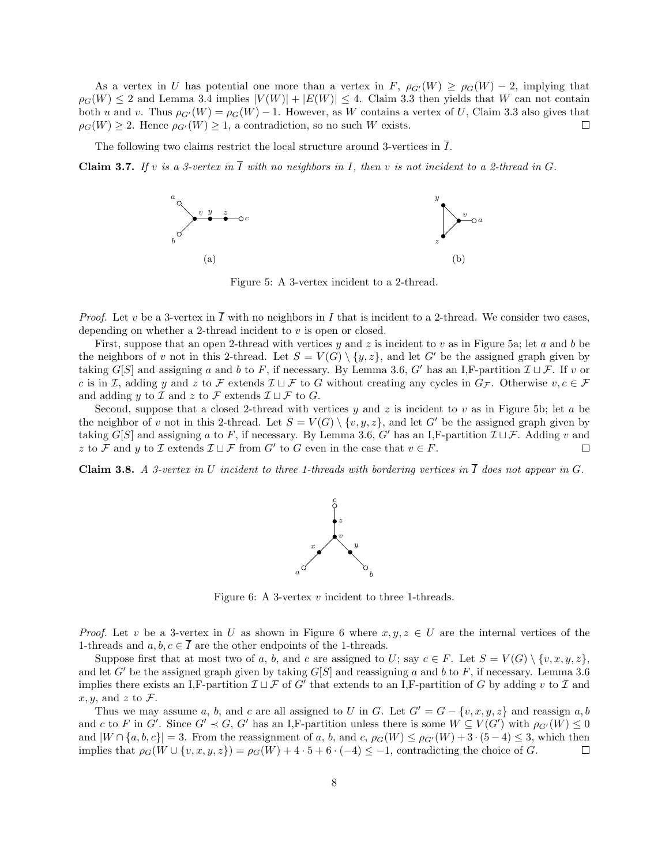As a vertex in U has potential one more than a vertex in F,  $\rho_{G'}(W) \ge \rho_G(W) - 2$ , implying that  $\rho_G(W) \leq 2$  and Lemma 3.4 implies  $|V(W)| + |E(W)| \leq 4$ . Claim 3.3 then yields that W can not contain both u and v. Thus  $\rho_{G'}(W) = \rho_G(W) - 1$ . However, as W contains a vertex of U, Claim 3.3 also gives that  $\rho_G(W) \geq 2$ . Hence  $\rho_{G'}(W) \geq 1$ , a contradiction, so no such W exists.  $\Box$ 

The following two claims restrict the local structure around 3-vertices in  $\overline{I}$ .

**Claim 3.7.** If v is a 3-vertex in  $\overline{I}$  with no neighbors in I, then v is not incident to a 2-thread in G.



Figure 5: A 3-vertex incident to a 2-thread.

*Proof.* Let v be a 3-vertex in  $\overline{I}$  with no neighbors in I that is incident to a 2-thread. We consider two cases, depending on whether a 2-thread incident to v is open or closed.

First, suppose that an open 2-thread with vertices y and z is incident to v as in Figure 5a; let a and b be the neighbors of v not in this 2-thread. Let  $S = V(G) \setminus \{y, z\}$ , and let G' be the assigned graph given by taking  $G[S]$  and assigning a and b to F, if necessary. By Lemma 3.6, G' has an I,F-partition  $\mathcal{I} \sqcup \mathcal{F}$ . If v or c is in I, adding y and z to F extends  $\mathcal{I} \sqcup \mathcal{F}$  to G without creating any cycles in  $G_{\mathcal{F}}$ . Otherwise  $v, c \in \mathcal{F}$ and adding y to  $\mathcal I$  and z to  $\mathcal F$  extends  $\mathcal I \sqcup \mathcal F$  to  $G$ .

Second, suppose that a closed 2-thread with vertices y and z is incident to v as in Figure 5b; let a be the neighbor of v not in this 2-thread. Let  $S = V(G) \setminus \{v, y, z\}$ , and let G' be the assigned graph given by taking  $G[S]$  and assigning a to F, if necessary. By Lemma 3.6, G' has an I,F-partition  $\mathcal{I} \sqcup \mathcal{F}$ . Adding v and z to F and y to I extends  $\mathcal{I} \sqcup \mathcal{F}$  from G' to G even in the case that  $v \in F$ .  $\Box$ 

Claim 3.8. A 3-vertex in U incident to three 1-threads with bordering vertices in  $\overline{I}$  does not appear in G.



Figure 6: A 3-vertex  $v$  incident to three 1-threads.

*Proof.* Let v be a 3-vertex in U as shown in Figure 6 where  $x, y, z \in U$  are the internal vertices of the 1-threads and  $a, b, c \in I$  are the other endpoints of the 1-threads.

Suppose first that at most two of a, b, and c are assigned to U; say  $c \in F$ . Let  $S = V(G) \setminus \{v, x, y, z\}$ , and let G' be the assigned graph given by taking  $G[S]$  and reassigning a and b to F, if necessary. Lemma 3.6 implies there exists an I,F-partition  $\mathcal{I} \sqcup \mathcal{F}$  of G' that extends to an I,F-partition of G by adding v to  $\mathcal{I}$  and  $x, y$ , and z to F.

Thus we may assume a, b, and c are all assigned to U in G. Let  $G' = G - \{v, x, y, z\}$  and reassign a, b and c to F in G'. Since  $G' \prec G$ , G' has an I,F-partition unless there is some  $W \subseteq V(G')$  with  $\rho_{G'}(W) \leq 0$ and  $|W \cap \{a, b, c\}| = 3$ . From the reassignment of a, b, and c,  $\rho_G(W) \leq \rho_{G'}(W) + 3 \cdot (5-4) \leq 3$ , which then implies that  $\rho_G(W \cup \{v, x, y, z\}) = \rho_G(W) + 4 \cdot 5 + 6 \cdot (-4) \leq -1$ , contradicting the choice of G.  $\Box$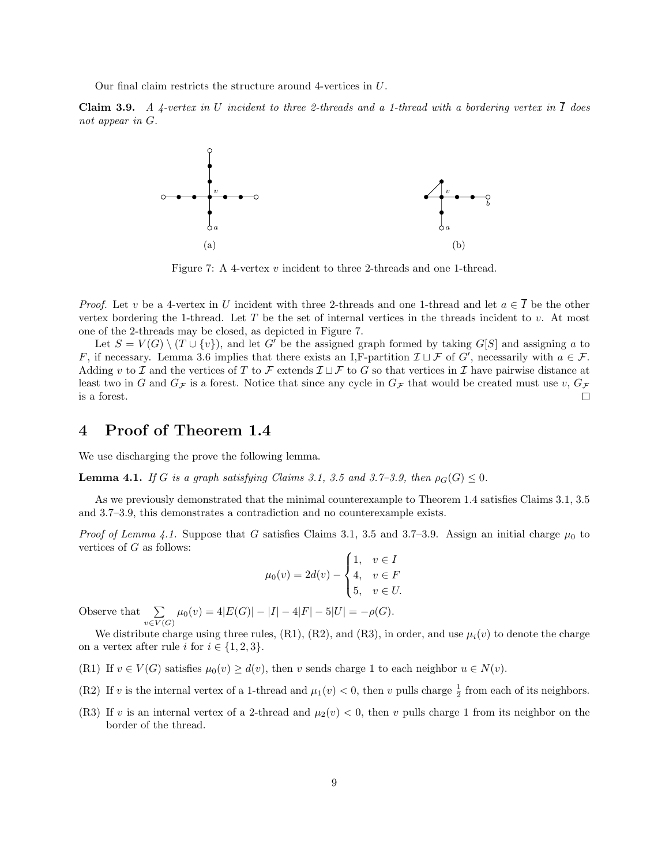Our final claim restricts the structure around 4-vertices in U.

**Claim 3.9.** A 4-vertex in U incident to three 2-threads and a 1-thread with a bordering vertex in  $\overline{I}$  does not appear in G.



Figure 7: A 4-vertex v incident to three 2-threads and one 1-thread.

*Proof.* Let v be a 4-vertex in U incident with three 2-threads and one 1-thread and let  $a \in \overline{I}$  be the other vertex bordering the 1-thread. Let  $T$  be the set of internal vertices in the threads incident to  $v$ . At most one of the 2-threads may be closed, as depicted in Figure 7.

Let  $S = V(G) \setminus (T \cup \{v\})$ , and let G' be the assigned graph formed by taking G[S] and assigning a to F, if necessary. Lemma 3.6 implies that there exists an I,F-partition  $\mathcal{I} \sqcup \mathcal{F}$  of  $G'$ , necessarily with  $a \in \mathcal{F}$ . Adding v to I and the vertices of T to F extends  $\mathcal{I} \sqcup \mathcal{F}$  to G so that vertices in I have pairwise distance at least two in G and  $G_F$  is a forest. Notice that since any cycle in  $G_F$  that would be created must use v,  $G_F$  $\Box$ is a forest.

#### 4 Proof of Theorem 1.4

We use discharging the prove the following lemma.

**Lemma 4.1.** If G is a graph satisfying Claims 3.1, 3.5 and 3.7–3.9, then  $\rho_G(G) \leq 0$ .

As we previously demonstrated that the minimal counterexample to Theorem 1.4 satisfies Claims 3.1, 3.5 and 3.7–3.9, this demonstrates a contradiction and no counterexample exists.

*Proof of Lemma 4.1.* Suppose that G satisfies Claims 3.1, 3.5 and 3.7–3.9. Assign an initial charge  $\mu_0$  to vertices of  $G$  as follows:

$$
\mu_0(v) = 2d(v) - \begin{cases}\n1, & v \in I \\
4, & v \in F \\
5, & v \in U.\n\end{cases}
$$

Observe that  $\sum$  $\sum_{v \in V(G)} \mu_0(v) = 4|E(G)| - |I| - 4|F| - 5|U| = -\rho(G).$ 

We distribute charge using three rules, (R1), (R2), and (R3), in order, and use  $\mu_i(v)$  to denote the charge on a vertex after rule i for  $i \in \{1,2,3\}.$ 

- (R1) If  $v \in V(G)$  satisfies  $\mu_0(v) \geq d(v)$ , then v sends charge 1 to each neighbor  $u \in N(v)$ .
- (R2) If v is the internal vertex of a 1-thread and  $\mu_1(v) < 0$ , then v pulls charge  $\frac{1}{2}$  from each of its neighbors.
- (R3) If v is an internal vertex of a 2-thread and  $\mu_2(v) < 0$ , then v pulls charge 1 from its neighbor on the border of the thread.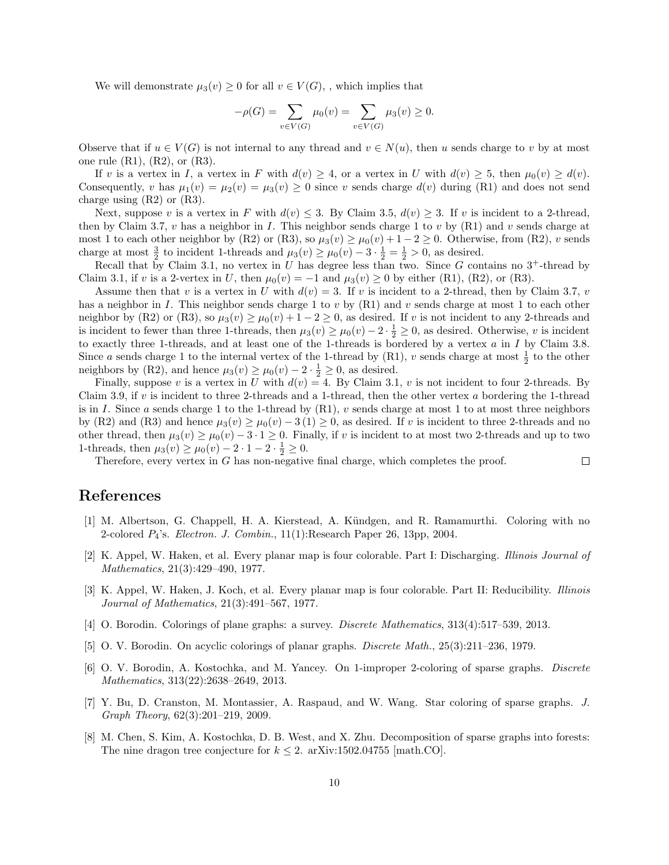We will demonstrate  $\mu_3(v) \geq 0$  for all  $v \in V(G)$ , which implies that

$$
-\rho(G) = \sum_{v \in V(G)} \mu_0(v) = \sum_{v \in V(G)} \mu_3(v) \ge 0.
$$

Observe that if  $u \in V(G)$  is not internal to any thread and  $v \in N(u)$ , then u sends charge to v by at most one rule  $(R1)$ ,  $(R2)$ , or  $(R3)$ .

If v is a vertex in I, a vertex in F with  $d(v) \geq 4$ , or a vertex in U with  $d(v) \geq 5$ , then  $\mu_0(v) \geq d(v)$ . Consequently, v has  $\mu_1(v) = \mu_2(v) = \mu_3(v) \ge 0$  since v sends charge  $d(v)$  during (R1) and does not send charge using  $(R2)$  or  $(R3)$ .

Next, suppose v is a vertex in F with  $d(v) \leq 3$ . By Claim 3.5,  $d(v) \geq 3$ . If v is incident to a 2-thread, then by Claim 3.7, v has a neighbor in I. This neighbor sends charge 1 to v by  $(R1)$  and v sends charge at most 1 to each other neighbor by (R2) or (R3), so  $\mu_3(v) \ge \mu_0(v) + 1 - 2 \ge 0$ . Otherwise, from (R2), v sends charge at most  $\frac{3}{2}$  to incident 1-threads and  $\mu_3(v) \ge \mu_0(v) - 3 \cdot \frac{1}{2} = \frac{1}{2} > 0$ , as desired.

Recall that by Claim 3.1, no vertex in U has degree less than two. Since G contains no  $3^+$ -thread by Claim 3.1, if v is a 2-vertex in U, then  $\mu_0(v) = -1$  and  $\mu_3(v) \ge 0$  by either (R1), (R2), or (R3).

Assume then that v is a vertex in U with  $d(v) = 3$ . If v is incident to a 2-thread, then by Claim 3.7, v has a neighbor in I. This neighbor sends charge 1 to v by  $(R1)$  and v sends charge at most 1 to each other neighbor by (R2) or (R3), so  $\mu_3(v) \ge \mu_0(v) + 1 - 2 \ge 0$ , as desired. If v is not incident to any 2-threads and is incident to fewer than three 1-threads, then  $\mu_3(v) \ge \mu_0(v) - 2 \cdot \frac{1}{2} \ge 0$ , as desired. Otherwise, v is incident to exactly three 1-threads, and at least one of the 1-threads is bordered by a vertex a in I by Claim 3.8. Since a sends charge 1 to the internal vertex of the 1-thread by (R1), v sends charge at most  $\frac{1}{2}$  to the other neighbors by (R2), and hence  $\mu_3(v) \ge \mu_0(v) - 2 \cdot \frac{1}{2} \ge 0$ , as desired.

Finally, suppose v is a vertex in U with  $d(v) = 4$ . By Claim 3.1, v is not incident to four 2-threads. By Claim 3.9, if v is incident to three 2-threads and a 1-thread, then the other vertex a bordering the 1-thread is in I. Since a sends charge 1 to the 1-thread by  $(R1)$ , v sends charge at most 1 to at most three neighbors by (R2) and (R3) and hence  $\mu_3(v) \geq \mu_0(v) - 3(1) \geq 0$ , as desired. If v is incident to three 2-threads and no other thread, then  $\mu_3(v) \ge \mu_0(v) - 3 \cdot 1 \ge 0$ . Finally, if v is incident to at most two 2-threads and up to two 1-threads, then  $\mu_3(v) \ge \mu_0(v) - 2 \cdot 1 - 2 \cdot \frac{1}{2} \ge 0$ .

 $\Box$ 

Therefore, every vertex in G has non-negative final charge, which completes the proof.

### References

- [1] M. Albertson, G. Chappell, H. A. Kierstead, A. Kündgen, and R. Ramamurthi. Coloring with no 2-colored  $P_4$ 's. *Electron. J. Combin.*,  $11(1)$ : Research Paper 26, 13pp, 2004.
- [2] K. Appel, W. Haken, et al. Every planar map is four colorable. Part I: Discharging. Illinois Journal of Mathematics, 21(3):429–490, 1977.
- [3] K. Appel, W. Haken, J. Koch, et al. Every planar map is four colorable. Part II: Reducibility. Illinois Journal of Mathematics, 21(3):491–567, 1977.
- [4] O. Borodin. Colorings of plane graphs: a survey. Discrete Mathematics, 313(4):517–539, 2013.
- [5] O. V. Borodin. On acyclic colorings of planar graphs. Discrete Math., 25(3):211–236, 1979.
- [6] O. V. Borodin, A. Kostochka, and M. Yancey. On 1-improper 2-coloring of sparse graphs. Discrete Mathematics, 313(22):2638–2649, 2013.
- [7] Y. Bu, D. Cranston, M. Montassier, A. Raspaud, and W. Wang. Star coloring of sparse graphs. J. Graph Theory, 62(3):201–219, 2009.
- [8] M. Chen, S. Kim, A. Kostochka, D. B. West, and X. Zhu. Decomposition of sparse graphs into forests: The nine dragon tree conjecture for  $k \leq 2$ . arXiv:1502.04755 [math.CO].